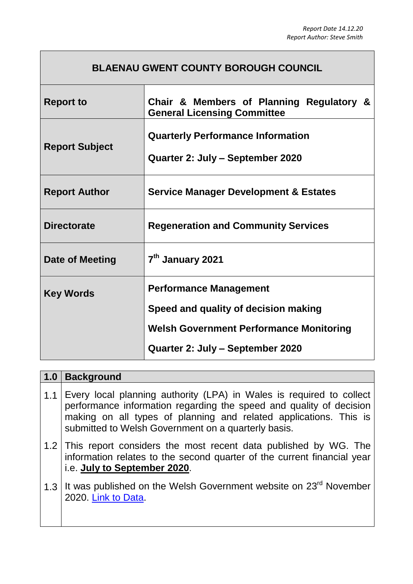## **BLAENAU GWENT COUNTY BOROUGH COUNCIL**

| <b>Report to</b>      | Chair & Members of Planning Regulatory &<br><b>General Licensing Committee</b> |  |
|-----------------------|--------------------------------------------------------------------------------|--|
| <b>Report Subject</b> | <b>Quarterly Performance Information</b><br>Quarter 2: July – September 2020   |  |
| <b>Report Author</b>  | <b>Service Manager Development &amp; Estates</b>                               |  |
| <b>Directorate</b>    | <b>Regeneration and Community Services</b>                                     |  |
| Date of Meeting       | 7 <sup>th</sup> January 2021                                                   |  |
| <b>Key Words</b>      | <b>Performance Management</b>                                                  |  |
|                       | Speed and quality of decision making                                           |  |
|                       | <b>Welsh Government Performance Monitoring</b>                                 |  |
|                       | Quarter 2: July – September 2020                                               |  |

| 1.0 | <b>Background</b>                                                                                                                                                                                                                                                       |
|-----|-------------------------------------------------------------------------------------------------------------------------------------------------------------------------------------------------------------------------------------------------------------------------|
| 1.1 | Every local planning authority (LPA) in Wales is required to collect<br>performance information regarding the speed and quality of decision<br>making on all types of planning and related applications. This is<br>submitted to Welsh Government on a quarterly basis. |
|     | 1.2 This report considers the most recent data published by WG. The<br>information relates to the second quarter of the current financial year<br>i.e. July to September 2020.                                                                                          |
|     | 1.3   It was published on the Welsh Government website on 23 <sup>rd</sup> November<br>2020. Link to Data.                                                                                                                                                              |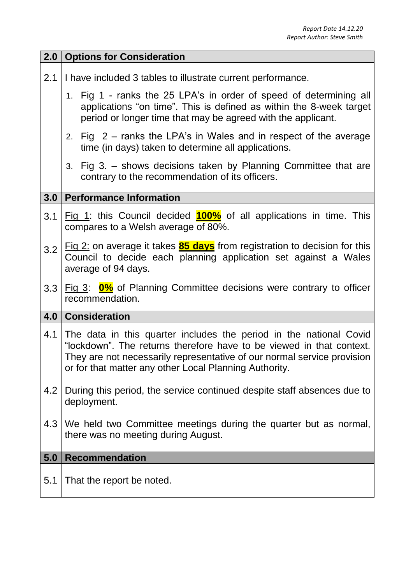| 2.0 | <b>Options for Consideration</b>                                                                                                                                                                                                                                                |  |
|-----|---------------------------------------------------------------------------------------------------------------------------------------------------------------------------------------------------------------------------------------------------------------------------------|--|
| 2.1 | I have included 3 tables to illustrate current performance.                                                                                                                                                                                                                     |  |
|     | 1. Fig 1 - ranks the 25 LPA's in order of speed of determining all<br>applications "on time". This is defined as within the 8-week target<br>period or longer time that may be agreed with the applicant.                                                                       |  |
|     | 2. Fig $2$ – ranks the LPA's in Wales and in respect of the average<br>time (in days) taken to determine all applications.                                                                                                                                                      |  |
|     | 3. Fig 3. - shows decisions taken by Planning Committee that are<br>contrary to the recommendation of its officers.                                                                                                                                                             |  |
| 3.0 | <b>Performance Information</b>                                                                                                                                                                                                                                                  |  |
| 3.1 | Fig 1: this Council decided $100\%$ of all applications in time. This<br>compares to a Welsh average of 80%.                                                                                                                                                                    |  |
| 3.2 | Fig $2$ : on average it takes $85 \text{ days}$ from registration to decision for this<br>Council to decide each planning application set against a Wales<br>average of 94 days.                                                                                                |  |
| 3.3 | Fig $3$ : $0\%$ of Planning Committee decisions were contrary to officer<br>recommendation.                                                                                                                                                                                     |  |
|     | 4.0 Consideration                                                                                                                                                                                                                                                               |  |
| 4.1 | The data in this quarter includes the period in the national Covid<br>"lockdown". The returns therefore have to be viewed in that context.<br>They are not necessarily representative of our normal service provision<br>or for that matter any other Local Planning Authority. |  |
| 4.2 | During this period, the service continued despite staff absences due to<br>deployment.                                                                                                                                                                                          |  |
| 4.3 | We held two Committee meetings during the quarter but as normal,<br>there was no meeting during August.                                                                                                                                                                         |  |
| 5.0 | <b>Recommendation</b>                                                                                                                                                                                                                                                           |  |
| 5.1 | That the report be noted.                                                                                                                                                                                                                                                       |  |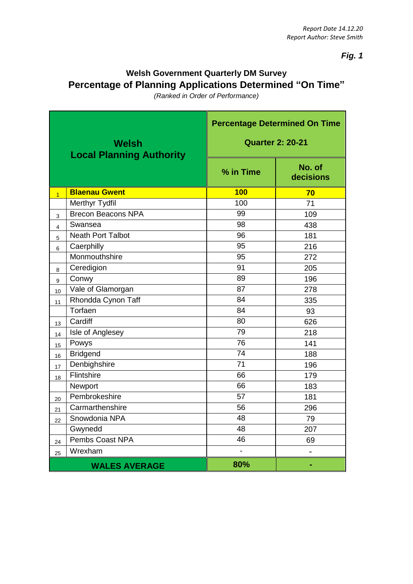*Fig. 1*

## **Welsh Government Quarterly DM Survey Percentage of Planning Applications Determined "On Time"**

*(Ranked in Order of Performance)*

| <b>Welsh</b><br><b>Local Planning Authority</b> |                           | <b>Percentage Determined On Time</b><br><b>Quarter 2: 20-21</b> |                     |
|-------------------------------------------------|---------------------------|-----------------------------------------------------------------|---------------------|
|                                                 |                           | % in Time                                                       | No. of<br>decisions |
| $\overline{1}$                                  | <b>Blaenau Gwent</b>      | <b>100</b>                                                      | 70                  |
|                                                 | Merthyr Tydfil            | 100                                                             | 71                  |
| 3                                               | <b>Brecon Beacons NPA</b> | 99                                                              | 109                 |
| $\overline{4}$                                  | Swansea                   | 98                                                              | 438                 |
| $\overline{5}$                                  | <b>Neath Port Talbot</b>  | 96                                                              | 181                 |
| 6                                               | Caerphilly                | 95                                                              | 216                 |
|                                                 | Monmouthshire             | 95                                                              | 272                 |
| 8                                               | Ceredigion                | 91                                                              | 205                 |
| $\overline{9}$                                  | Conwy                     | 89                                                              | 196                 |
| 10                                              | Vale of Glamorgan         | 87                                                              | 278                 |
| 11                                              | Rhondda Cynon Taff        | 84                                                              | 335                 |
|                                                 | Torfaen                   | 84                                                              | 93                  |
| 13                                              | Cardiff                   | 80                                                              | 626                 |
| 14                                              | Isle of Anglesey          | 79                                                              | 218                 |
| 15                                              | Powys                     | 76                                                              | 141                 |
| 16                                              | <b>Bridgend</b>           | 74                                                              | 188                 |
| 17                                              | Denbighshire              | $\overline{71}$                                                 | 196                 |
| 18                                              | Flintshire                | 66                                                              | 179                 |
|                                                 | Newport                   | 66                                                              | 183                 |
| 20                                              | Pembrokeshire             | 57                                                              | 181                 |
| 21                                              | Carmarthenshire           | 56                                                              | 296                 |
| 22                                              | Snowdonia NPA             | 48                                                              | 79                  |
|                                                 | Gwynedd                   | 48                                                              | 207                 |
| 24                                              | Pembs Coast NPA           | 46                                                              | 69                  |
| 25                                              | Wrexham                   | $\overline{\phantom{0}}$                                        |                     |
|                                                 | <b>WALES AVERAGE</b>      | 80%                                                             |                     |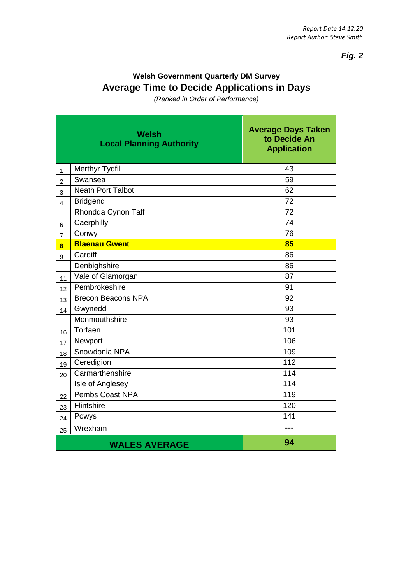à.

*Fig. 2*

## **Welsh Government Quarterly DM Survey Average Time to Decide Applications in Days**

*(Ranked in Order of Performance)*

|                         | <b>Welsh</b><br><b>Local Planning Authority</b> | <b>Average Days Taken</b><br>to Decide An<br><b>Application</b> |
|-------------------------|-------------------------------------------------|-----------------------------------------------------------------|
| 1                       | Merthyr Tydfil                                  | 43                                                              |
| $\overline{c}$          | Swansea                                         | 59                                                              |
| 3                       | <b>Neath Port Talbot</b>                        | 62                                                              |
| 4                       | <b>Bridgend</b>                                 | 72                                                              |
|                         | Rhondda Cynon Taff                              | 72                                                              |
| 6                       | Caerphilly                                      | 74                                                              |
| $\overline{7}$          | Conwy                                           | 76                                                              |
| $\overline{\mathbf{8}}$ | <b>Blaenau Gwent</b>                            | 85                                                              |
| 9                       | Cardiff                                         | 86                                                              |
|                         | Denbighshire                                    | 86                                                              |
| 11                      | Vale of Glamorgan                               | 87                                                              |
| 12                      | Pembrokeshire                                   | 91                                                              |
| 13                      | <b>Brecon Beacons NPA</b>                       | 92                                                              |
| 14                      | Gwynedd                                         | 93                                                              |
|                         | Monmouthshire                                   | 93                                                              |
| 16                      | Torfaen                                         | 101                                                             |
| 17                      | Newport                                         | 106                                                             |
| 18                      | Snowdonia NPA                                   | 109                                                             |
| 19                      | Ceredigion                                      | 112                                                             |
| 20                      | Carmarthenshire                                 | 114                                                             |
|                         | Isle of Anglesey                                | 114                                                             |
| 22                      | <b>Pembs Coast NPA</b>                          | 119                                                             |
| 23                      | Flintshire                                      | 120                                                             |
| 24                      | Powys                                           | 141                                                             |
| 25                      | Wrexham                                         |                                                                 |
|                         | <b>WALES AVERAGE</b>                            | 94                                                              |